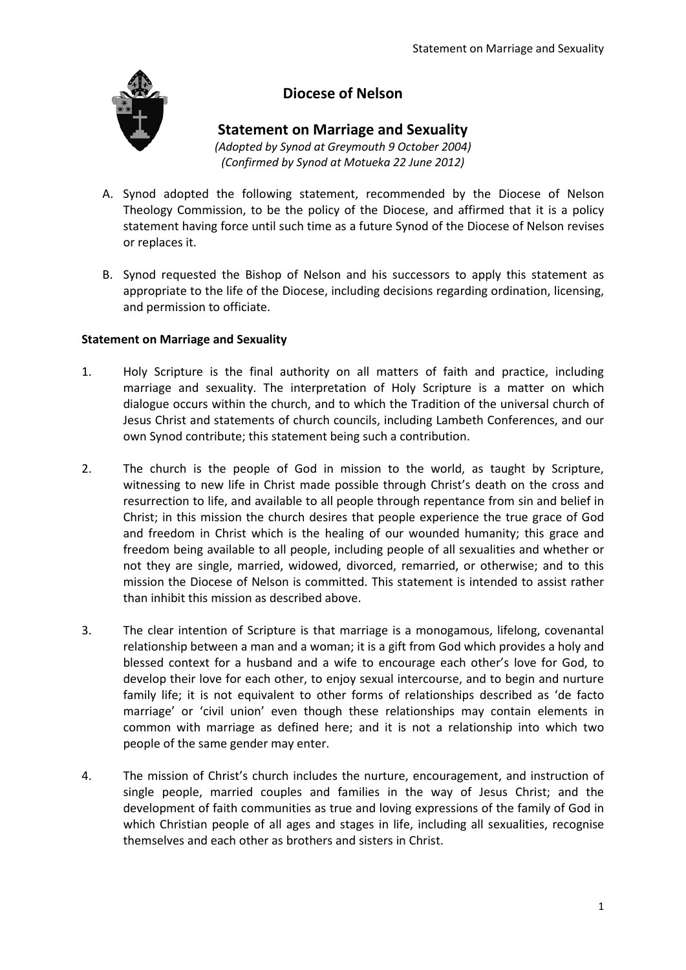

# **Diocese of Nelson**

### **Statement on Marriage and Sexuality**

*(Adopted by Synod at Greymouth 9 October 2004) (Confirmed by Synod at Motueka 22 June 2012)*

- A. Synod adopted the following statement, recommended by the Diocese of Nelson Theology Commission, to be the policy of the Diocese, and affirmed that it is a policy statement having force until such time as a future Synod of the Diocese of Nelson revises or replaces it.
- B. Synod requested the Bishop of Nelson and his successors to apply this statement as appropriate to the life of the Diocese, including decisions regarding ordination, licensing, and permission to officiate.

### **Statement on Marriage and Sexuality**

- 1. Holy Scripture is the final authority on all matters of faith and practice, including marriage and sexuality. The interpretation of Holy Scripture is a matter on which dialogue occurs within the church, and to which the Tradition of the universal church of Jesus Christ and statements of church councils, including Lambeth Conferences, and our own Synod contribute; this statement being such a contribution.
- 2. The church is the people of God in mission to the world, as taught by Scripture, witnessing to new life in Christ made possible through Christ's death on the cross and resurrection to life, and available to all people through repentance from sin and belief in Christ; in this mission the church desires that people experience the true grace of God and freedom in Christ which is the healing of our wounded humanity; this grace and freedom being available to all people, including people of all sexualities and whether or not they are single, married, widowed, divorced, remarried, or otherwise; and to this mission the Diocese of Nelson is committed. This statement is intended to assist rather than inhibit this mission as described above.
- 3. The clear intention of Scripture is that marriage is a monogamous, lifelong, covenantal relationship between a man and a woman; it is a gift from God which provides a holy and blessed context for a husband and a wife to encourage each other's love for God, to develop their love for each other, to enjoy sexual intercourse, and to begin and nurture family life; it is not equivalent to other forms of relationships described as 'de facto marriage' or 'civil union' even though these relationships may contain elements in common with marriage as defined here; and it is not a relationship into which two people of the same gender may enter.
- 4. The mission of Christ's church includes the nurture, encouragement, and instruction of single people, married couples and families in the way of Jesus Christ; and the development of faith communities as true and loving expressions of the family of God in which Christian people of all ages and stages in life, including all sexualities, recognise themselves and each other as brothers and sisters in Christ.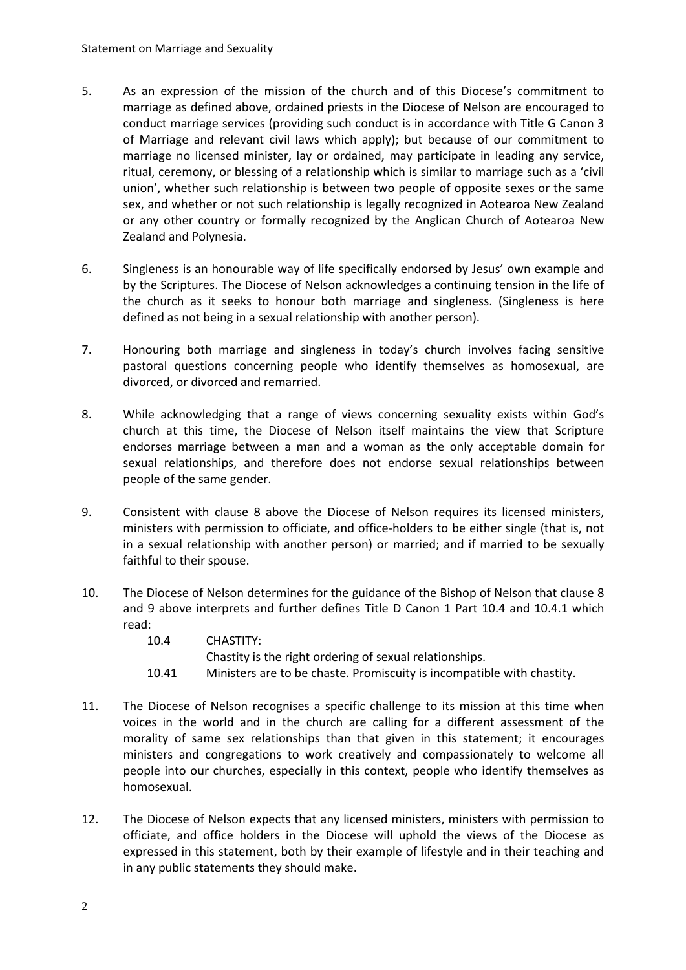- 5. As an expression of the mission of the church and of this Diocese's commitment to marriage as defined above, ordained priests in the Diocese of Nelson are encouraged to conduct marriage services (providing such conduct is in accordance with Title G Canon 3 of Marriage and relevant civil laws which apply); but because of our commitment to marriage no licensed minister, lay or ordained, may participate in leading any service, ritual, ceremony, or blessing of a relationship which is similar to marriage such as a 'civil union', whether such relationship is between two people of opposite sexes or the same sex, and whether or not such relationship is legally recognized in Aotearoa New Zealand or any other country or formally recognized by the Anglican Church of Aotearoa New Zealand and Polynesia.
- 6. Singleness is an honourable way of life specifically endorsed by Jesus' own example and by the Scriptures. The Diocese of Nelson acknowledges a continuing tension in the life of the church as it seeks to honour both marriage and singleness. (Singleness is here defined as not being in a sexual relationship with another person).
- 7. Honouring both marriage and singleness in today's church involves facing sensitive pastoral questions concerning people who identify themselves as homosexual, are divorced, or divorced and remarried.
- 8. While acknowledging that a range of views concerning sexuality exists within God's church at this time, the Diocese of Nelson itself maintains the view that Scripture endorses marriage between a man and a woman as the only acceptable domain for sexual relationships, and therefore does not endorse sexual relationships between people of the same gender.
- 9. Consistent with clause 8 above the Diocese of Nelson requires its licensed ministers, ministers with permission to officiate, and office-holders to be either single (that is, not in a sexual relationship with another person) or married; and if married to be sexually faithful to their spouse.
- 10. The Diocese of Nelson determines for the guidance of the Bishop of Nelson that clause 8 and 9 above interprets and further defines Title D Canon 1 Part 10.4 and 10.4.1 which read:
	- 10.4 CHASTITY:

Chastity is the right ordering of sexual relationships.

- 10.41 Ministers are to be chaste. Promiscuity is incompatible with chastity.
- 11. The Diocese of Nelson recognises a specific challenge to its mission at this time when voices in the world and in the church are calling for a different assessment of the morality of same sex relationships than that given in this statement; it encourages ministers and congregations to work creatively and compassionately to welcome all people into our churches, especially in this context, people who identify themselves as homosexual.
- 12. The Diocese of Nelson expects that any licensed ministers, ministers with permission to officiate, and office holders in the Diocese will uphold the views of the Diocese as expressed in this statement, both by their example of lifestyle and in their teaching and in any public statements they should make.